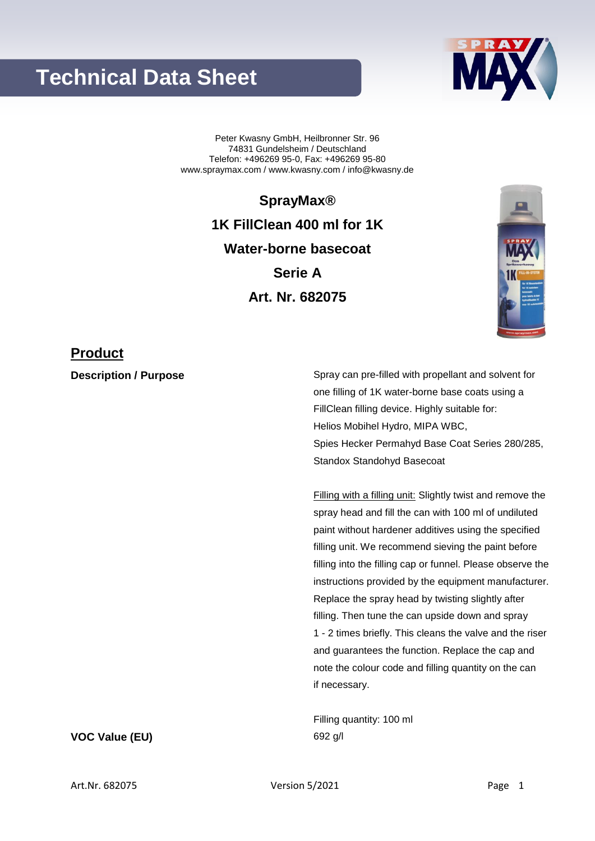# **Technical Data Sheet**



Peter Kwasny GmbH, Heilbronner Str. 96 74831 Gundelsheim / Deutschland Telefon: +496269 95-0, Fax: +496269 95-80 www.spraymax.com / www.kwasny.com / info@kwasny.de

> **SprayMax® 1K FillClean 400 ml for 1K Water-borne basecoat Serie A Art. Nr. 682075**



### **Product**

**Description / Purpose** Spray can pre-filled with propellant and solvent for one filling of 1K water-borne base coats using a FillClean filling device. Highly suitable for: Helios Mobihel Hydro, MIPA WBC, Spies Hecker Permahyd Base Coat Series 280/285, Standox Standohyd Basecoat

> Filling with a filling unit: Slightly twist and remove the spray head and fill the can with 100 ml of undiluted paint without hardener additives using the specified filling unit. We recommend sieving the paint before filling into the filling cap or funnel. Please observe the instructions provided by the equipment manufacturer. Replace the spray head by twisting slightly after filling. Then tune the can upside down and spray 1 - 2 times briefly. This cleans the valve and the riser and guarantees the function. Replace the cap and note the colour code and filling quantity on the can if necessary.

Filling quantity: 100 ml

### **VOC Value (EU)** 692 g/l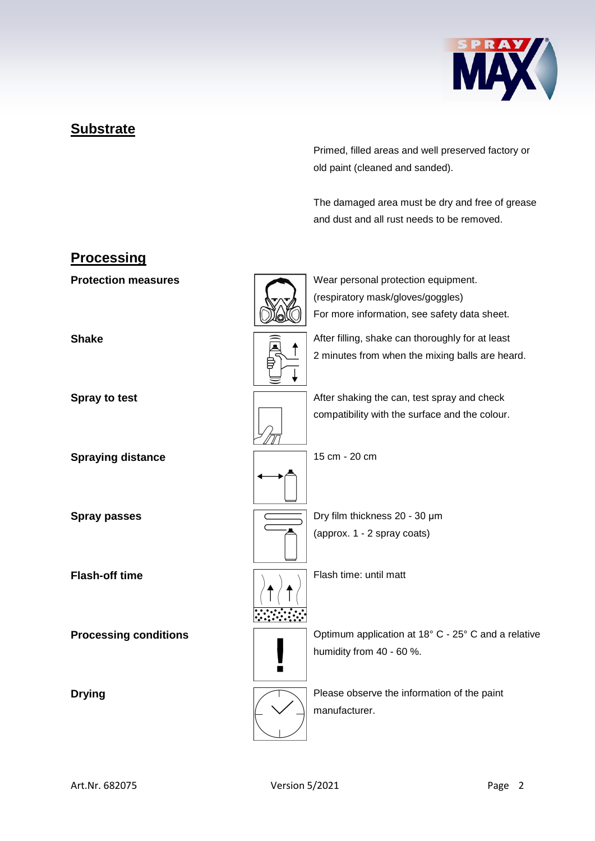

## **Substrate**

Primed, filled areas and well preserved factory or old paint (cleaned and sanded).

The damaged area must be dry and free of grease and dust and all rust needs to be removed.

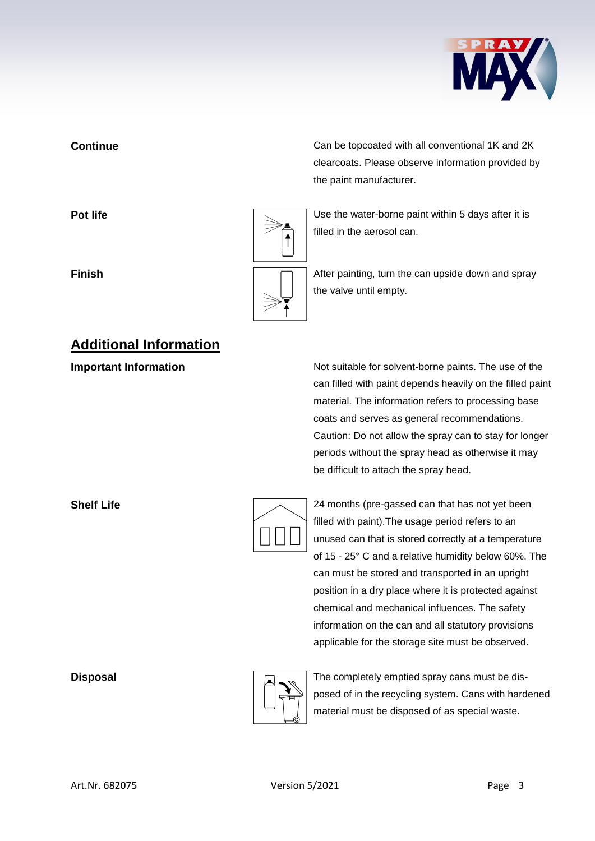

## **Additional Information**

**Continue** Can be topcoated with all conventional 1K and 2K clearcoats. Please observe information provided by the paint manufacturer.

**Pot life Pot life Pot life Pot life Pot life Department is a little value of**  $\sim$  **<b>Depending Life Depending 1** Use the water-borne paint within 5 days after it is filled in the aerosol can.

**Finish Finish Finish After painting, turn the can upside down and spray** the valve until empty.

**Important Information Information** Not suitable for solvent-borne paints. The use of the can filled with paint depends heavily on the filled paint material. The information refers to processing base coats and serves as general recommendations. Caution: Do not allow the spray can to stay for longer periods without the spray head as otherwise it may be difficult to attach the spray head.

| Z   |
|-----|
| fil |
| ur  |
| J   |

**Shelf Life** 24 months (pre-gassed can that has not yet been led with paint). The usage period refers to an nused can that is stored correctly at a temperature 15 -  $25^{\circ}$  C and a relative humidity below 60%. The can must be stored and transported in an upright position in a dry place where it is protected against chemical and mechanical influences. The safety information on the can and all statutory provisions applicable for the storage site must be observed.



**Disposal** Disposal **The completely emptied spray cans must be dis**posed of in the recycling system. Cans with hardened material must be disposed of as special waste.